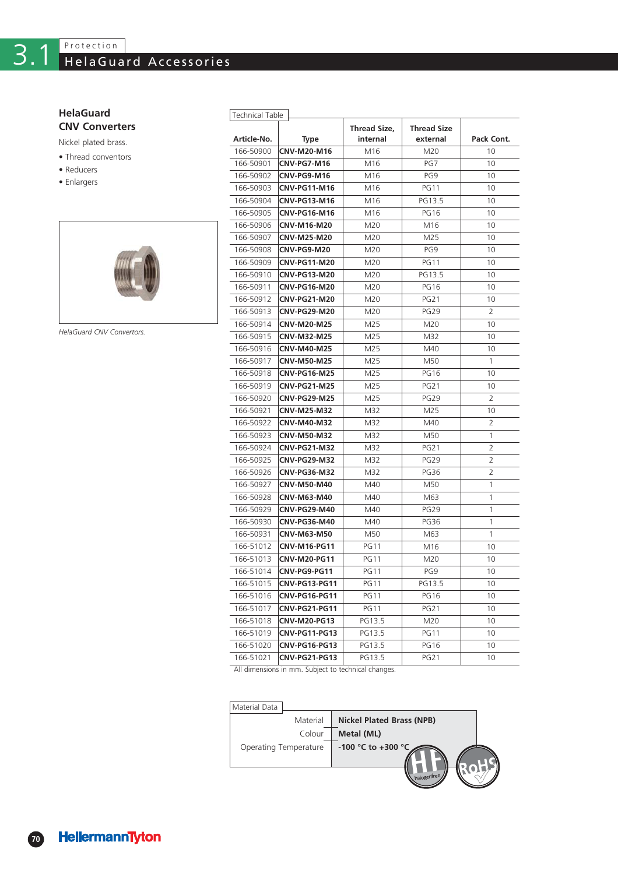## **CNV Converters HelaGuard**

- Thread conventors Nickel plated brass.
- Reducers
- 
- Enlargers



*HelaGuard CNV Convertors.*

| <b>Technical Table</b> |                      |              |                    |                |  |  |
|------------------------|----------------------|--------------|--------------------|----------------|--|--|
|                        |                      | Thread Size, | <b>Thread Size</b> |                |  |  |
| Article-No.            | Type                 | internal     | external           | Pack Cont.     |  |  |
| 166-50900              | CNV-M20-M16          | M16          | M20                | 10             |  |  |
| 166-50901              | CNV-PG7-M16          | M16          | PG7                | 10             |  |  |
| 166-50902              | CNV-PG9-M16          | M16          | PG9                | 10             |  |  |
| 166-50903              | <b>CNV-PG11-M16</b>  | M16          | <b>PG11</b>        | 10             |  |  |
| 166-50904              | <b>CNV-PG13-M16</b>  | M16          | PG13.5             | 10             |  |  |
| 166-50905              | <b>CNV-PG16-M16</b>  | M16          | <b>PG16</b>        | 10             |  |  |
| 166-50906              | CNV-M16-M20          | M20          | M16                | 10             |  |  |
| 166-50907              | CNV-M25-M20          | M20          | M25                | 10             |  |  |
| 166-50908              | CNV-PG9-M20          | M20          | PG9                | 10             |  |  |
| 166-50909              | <b>CNV-PG11-M20</b>  | M20          | <b>PG11</b>        | 10             |  |  |
| 166-50910              | <b>CNV-PG13-M20</b>  | M20          | PG13.5             | 10             |  |  |
| 166-50911              | <b>CNV-PG16-M20</b>  | M20          | <b>PG16</b>        | 10             |  |  |
| 166-50912              | <b>CNV-PG21-M20</b>  | M20          | <b>PG21</b>        | 10             |  |  |
| 166-50913              | <b>CNV-PG29-M20</b>  | M20          | <b>PG29</b>        | 2              |  |  |
| 166-50914              | <b>CNV-M20-M25</b>   | M25          | M20                | 10             |  |  |
| 166-50915              | <b>CNV-M32-M25</b>   | M25          | M32                | 10             |  |  |
| 166-50916              | <b>CNV-M40-M25</b>   | M25          | M40                | 10             |  |  |
| 166-50917              | <b>CNV-M50-M25</b>   | M25          | M50                | 1              |  |  |
| 166-50918              | <b>CNV-PG16-M25</b>  | M25          | <b>PG16</b>        | 10             |  |  |
| 166-50919              | <b>CNV-PG21-M25</b>  | M25          | <b>PG21</b>        | 10             |  |  |
| 166-50920              | <b>CNV-PG29-M25</b>  | M25          | <b>PG29</b>        | 2              |  |  |
| 166-50921              | <b>CNV-M25-M32</b>   | M32          | M25                | 10             |  |  |
| 166-50922              | <b>CNV-M40-M32</b>   | M32          | M40                | $\overline{2}$ |  |  |
| 166-50923              | <b>CNV-M50-M32</b>   | M32          | M50                | 1              |  |  |
| 166-50924              | <b>CNV-PG21-M32</b>  | M32          | <b>PG21</b>        | 2              |  |  |
| 166-50925              | <b>CNV-PG29-M32</b>  | M32          | <b>PG29</b>        | 2              |  |  |
| 166-50926              | <b>CNV-PG36-M32</b>  | M32          | PG36               | 2              |  |  |
| 166-50927              | <b>CNV-M50-M40</b>   | M40          | M50                | 1              |  |  |
| 166-50928              | CNV-M63-M40          | M40          | M63                | 1              |  |  |
| 166-50929              | CNV-PG29-M40         | M40          | PG <sub>29</sub>   | 1              |  |  |
| 166-50930              | <b>CNV-PG36-M40</b>  | M40          | <b>PG36</b>        | 1              |  |  |
| 166-50931              | CNV-M63-M50          | M50          | M63                | 1              |  |  |
| 166-51012              | <b>CNV-M16-PG11</b>  | PG11         | M16                | 10             |  |  |
| 166-51013              | <b>CNV-M20-PG11</b>  | PG11         | M20                | 10             |  |  |
| 166-51014              | CNV-PG9-PG11         | <b>PG11</b>  | PG9                | 10             |  |  |
| 166-51015              | <b>CNV-PG13-PG11</b> | PG11         | PG13.5             | 10             |  |  |
| 166-51016              | CNV-PG16-PG11        | <b>PG11</b>  | <b>PG16</b>        | 10             |  |  |
| 166-51017              | CNV-PG21-PG11        | <b>PG11</b>  | <b>PG21</b>        | 10             |  |  |
| 166-51018              | CNV-M20-PG13         | PG13.5       | M20                | 10             |  |  |
| 166-51019              | CNV-PG11-PG13        | PG13.5       | <b>PG11</b>        | 10             |  |  |
| 166-51020              | <b>CNV-PG16-PG13</b> | PG13.5       | <b>PG16</b>        | 10             |  |  |
| 166-51021              | <b>CNV-PG21-PG13</b> | PG13.5       | <b>PG21</b>        | 10             |  |  |

All dimensions in mm. Subject to technical changes.

## Material **Nickel Plated Brass (NPB)** Colour Metal (ML) Operating Temperature **-100 °C to +300 °C** Material Data halogenfree